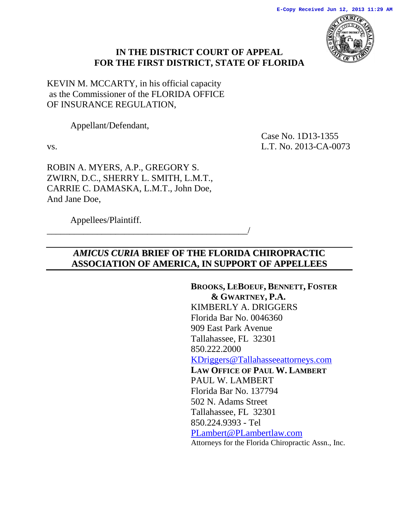

## **IN THE DISTRICT COURT OF APPEAL FOR THE FIRST DISTRICT, STATE OF FLORIDA**

KEVIN M. MCCARTY, in his official capacity as the Commissioner of the FLORIDA OFFICE OF INSURANCE REGULATION,

Appellant/Defendant,

Case No. 1D13-1355 vs. L.T. No. 2013-CA-0073

ROBIN A. MYERS, A.P., GREGORY S. ZWIRN, D.C., SHERRY L. SMITH, L.M.T., CARRIE C. DAMASKA, L.M.T., John Doe, And Jane Doe,

\_\_\_\_\_\_\_\_\_\_\_\_\_\_\_\_\_\_\_\_\_\_\_\_\_\_\_\_\_\_\_\_\_\_\_\_\_\_\_\_\_\_\_\_/

Appellees/Plaintiff.

## *AMICUS CURIA* **BRIEF OF THE FLORIDA CHIROPRACTIC ASSOCIATION OF AMERICA, IN SUPPORT OF APPELLEES**

**BROOKS, LEBOEUF, BENNETT, FOSTER & GWARTNEY, P.A.** KIMBERLY A. DRIGGERS Florida Bar No. 0046360 909 East Park Avenue Tallahassee, FL 32301 850.222.2000 [KDriggers@Tallahasseeattorneys.com](mailto:KDriggers@Tallahasseeattorneys.com) **LAW OFFICE OF PAUL W. LAMBERT** PAUL W. LAMBERT Florida Bar No. 137794 502 N. Adams Street Tallahassee, FL 32301 850.224.9393 - Tel [PLambert@PLambertlaw.com](mailto:PLambert@PLambertlaw.com) Attorneys for the Florida Chiropractic Assn., Inc.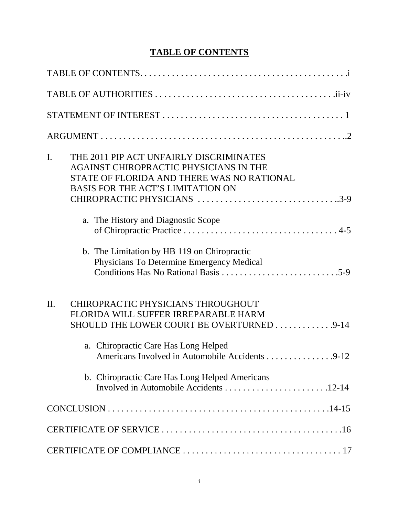# **TABLE OF CONTENTS**

| I.<br>THE 2011 PIP ACT UNFAIRLY DISCRIMINATES<br>AGAINST CHIROPRACTIC PHYSICIANS IN THE<br>STATE OF FLORIDA AND THERE WAS NO RATIONAL<br><b>BASIS FOR THE ACT'S LIMITATION ON</b><br>CHIROPRACTIC PHYSICIANS 3-9 |
|------------------------------------------------------------------------------------------------------------------------------------------------------------------------------------------------------------------|
| a. The History and Diagnostic Scope                                                                                                                                                                              |
| b. The Limitation by HB 119 on Chiropractic<br>Physicians To Determine Emergency Medical                                                                                                                         |
| $\Pi$ .<br>CHIROPRACTIC PHYSICIANS THROUGHOUT<br>FLORIDA WILL SUFFER IRREPARABLE HARM<br>SHOULD THE LOWER COURT BE OVERTURNED 9-14                                                                               |
| a. Chiropractic Care Has Long Helped<br>Americans Involved in Automobile Accidents 9-12                                                                                                                          |
| b. Chiropractic Care Has Long Helped Americans                                                                                                                                                                   |
|                                                                                                                                                                                                                  |
|                                                                                                                                                                                                                  |
|                                                                                                                                                                                                                  |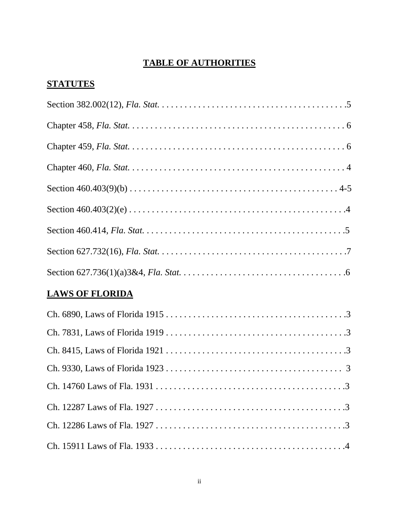# **TABLE OF AUTHORITIES**

# **STATUTES**

## **LAWS OF FLORIDA**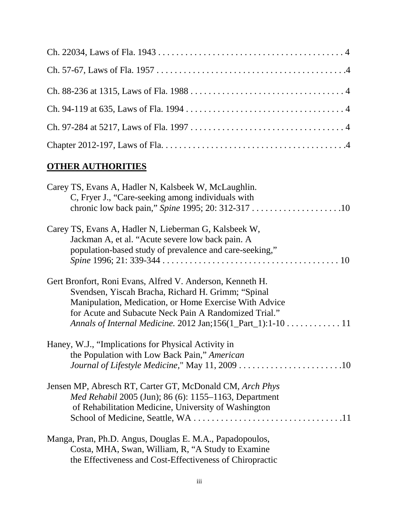# **OTHER AUTHORITIES**

| Carey TS, Evans A, Hadler N, Kalsbeek W, McLaughlin.<br>C, Fryer J., "Care-seeking among individuals with |
|-----------------------------------------------------------------------------------------------------------|
|                                                                                                           |
| Carey TS, Evans A, Hadler N, Lieberman G, Kalsbeek W,                                                     |
| Jackman A, et al. "Acute severe low back pain. A                                                          |
| population-based study of prevalence and care-seeking,"                                                   |
| Gert Bronfort, Roni Evans, Alfred V. Anderson, Kenneth H.                                                 |
| Svendsen, Yiscah Bracha, Richard H. Grimm; "Spinal                                                        |
| Manipulation, Medication, or Home Exercise With Advice                                                    |
| for Acute and Subacute Neck Pain A Randomized Trial."                                                     |
| Annals of Internal Medicine. 2012 Jan;156(1_Part_1):1-10 11                                               |
| Haney, W.J., "Implications for Physical Activity in                                                       |
| the Population with Low Back Pain," American                                                              |
| Journal of Lifestyle Medicine," May 11, 2009 10                                                           |
| Jensen MP, Abresch RT, Carter GT, McDonald CM, Arch Phys                                                  |
| <i>Med Rehabil</i> 2005 (Jun); 86 (6): 1155–1163, Department                                              |
| of Rehabilitation Medicine, University of Washington                                                      |
|                                                                                                           |
| Manga, Pran, Ph.D. Angus, Douglas E. M.A., Papadopoulos,                                                  |
| Costa, MHA, Swan, William, R, "A Study to Examine                                                         |
| the Effectiveness and Cost-Effectiveness of Chiropractic                                                  |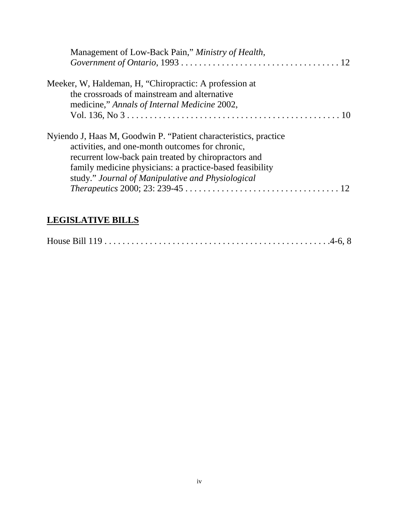| Management of Low-Back Pain," Ministry of Health,                                                                                                                                                                                                                                            |
|----------------------------------------------------------------------------------------------------------------------------------------------------------------------------------------------------------------------------------------------------------------------------------------------|
| Meeker, W, Haldeman, H, "Chiropractic: A profession at<br>the crossroads of mainstream and alternative<br>medicine," Annals of Internal Medicine 2002,                                                                                                                                       |
| Nyiendo J, Haas M, Goodwin P. "Patient characteristics, practice<br>activities, and one-month outcomes for chronic,<br>recurrent low-back pain treated by chiropractors and<br>family medicine physicians: a practice-based feasibility<br>study." Journal of Manipulative and Physiological |

# **LEGISLATIVE BILLS**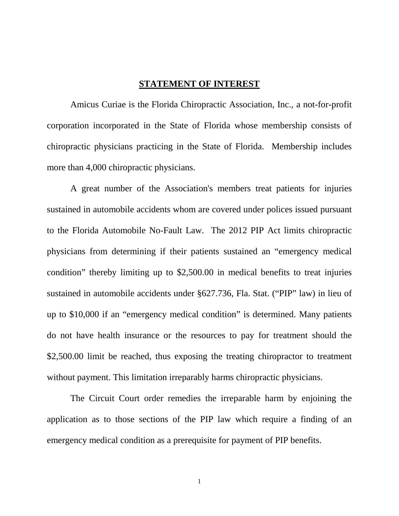### **STATEMENT OF INTEREST**

Amicus Curiae is the Florida Chiropractic Association, Inc., a not-for-profit corporation incorporated in the State of Florida whose membership consists of chiropractic physicians practicing in the State of Florida. Membership includes more than 4,000 chiropractic physicians.

A great number of the Association's members treat patients for injuries sustained in automobile accidents whom are covered under polices issued pursuant to the Florida Automobile No-Fault Law. The 2012 PIP Act limits chiropractic physicians from determining if their patients sustained an "emergency medical condition" thereby limiting up to \$2,500.00 in medical benefits to treat injuries sustained in automobile accidents under §627.736, Fla. Stat. ("PIP" law) in lieu of up to \$10,000 if an "emergency medical condition" is determined. Many patients do not have health insurance or the resources to pay for treatment should the \$2,500.00 limit be reached, thus exposing the treating chiropractor to treatment without payment. This limitation irreparably harms chiropractic physicians.

The Circuit Court order remedies the irreparable harm by enjoining the application as to those sections of the PIP law which require a finding of an emergency medical condition as a prerequisite for payment of PIP benefits.

1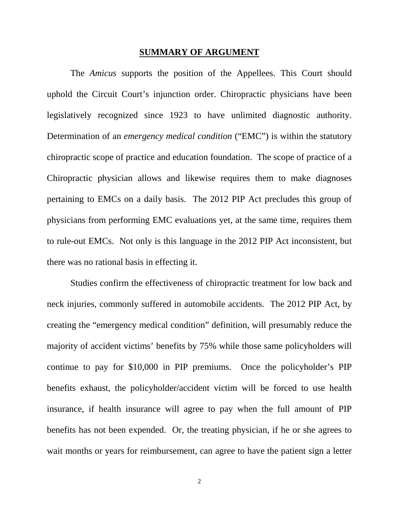#### **SUMMARY OF ARGUMENT**

The *Amicus* supports the position of the Appellees. This Court should uphold the Circuit Court's injunction order. Chiropractic physicians have been legislatively recognized since 1923 to have unlimited diagnostic authority. Determination of an *emergency medical condition* ("EMC") is within the statutory chiropractic scope of practice and education foundation. The scope of practice of a Chiropractic physician allows and likewise requires them to make diagnoses pertaining to EMCs on a daily basis. The 2012 PIP Act precludes this group of physicians from performing EMC evaluations yet, at the same time, requires them to rule-out EMCs. Not only is this language in the 2012 PIP Act inconsistent, but there was no rational basis in effecting it.

Studies confirm the effectiveness of chiropractic treatment for low back and neck injuries, commonly suffered in automobile accidents. The 2012 PIP Act, by creating the "emergency medical condition" definition, will presumably reduce the majority of accident victims' benefits by 75% while those same policyholders will continue to pay for \$10,000 in PIP premiums. Once the policyholder's PIP benefits exhaust, the policyholder/accident victim will be forced to use health insurance, if health insurance will agree to pay when the full amount of PIP benefits has not been expended. Or, the treating physician, if he or she agrees to wait months or years for reimbursement, can agree to have the patient sign a letter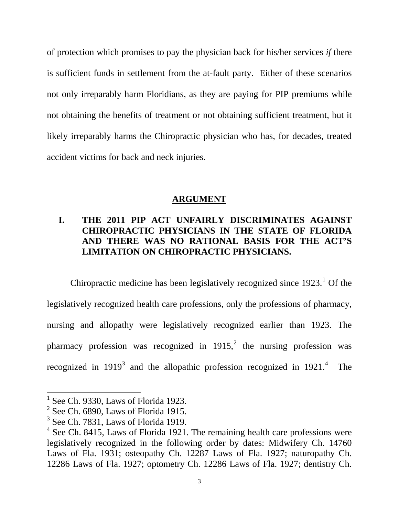of protection which promises to pay the physician back for his/her services *if* there is sufficient funds in settlement from the at-fault party. Either of these scenarios not only irreparably harm Floridians, as they are paying for PIP premiums while not obtaining the benefits of treatment or not obtaining sufficient treatment, but it likely irreparably harms the Chiropractic physician who has, for decades, treated accident victims for back and neck injuries.

### **ARGUMENT**

## **I. THE 2011 PIP ACT UNFAIRLY DISCRIMINATES AGAINST CHIROPRACTIC PHYSICIANS IN THE STATE OF FLORIDA AND THERE WAS NO RATIONAL BASIS FOR THE ACT'S LIMITATION ON CHIROPRACTIC PHYSICIANS.**

Chiropractic medicine has been legislatively recognized since  $1923$  $1923$ <sup> $1$ </sup> Of the legislatively recognized health care professions, only the professions of pharmacy, nursing and allopathy were legislatively recognized earlier than 1923. The pharmacy profession was recognized in  $1915$ ,<sup>[2](#page-7-1)</sup> the nursing profession was recognized in  $1919<sup>3</sup>$  $1919<sup>3</sup>$  $1919<sup>3</sup>$  and the allopathic profession recognized in  $1921<sup>4</sup>$  $1921<sup>4</sup>$  $1921<sup>4</sup>$ The

See Ch. 9330, Laws of Florida 1923.

<span id="page-7-1"></span><span id="page-7-0"></span> $2$  See Ch. 6890, Laws of Florida 1915.

<span id="page-7-2"></span><sup>&</sup>lt;sup>3</sup> See Ch. 7831, Laws of Florida 1919.

<span id="page-7-3"></span><sup>&</sup>lt;sup>4</sup> See Ch. 8415, Laws of Florida 1921. The remaining health care professions were legislatively recognized in the following order by dates: Midwifery Ch. 14760 Laws of Fla. 1931; osteopathy Ch. 12287 Laws of Fla. 1927; naturopathy Ch. 12286 Laws of Fla. 1927; optometry Ch. 12286 Laws of Fla. 1927; dentistry Ch.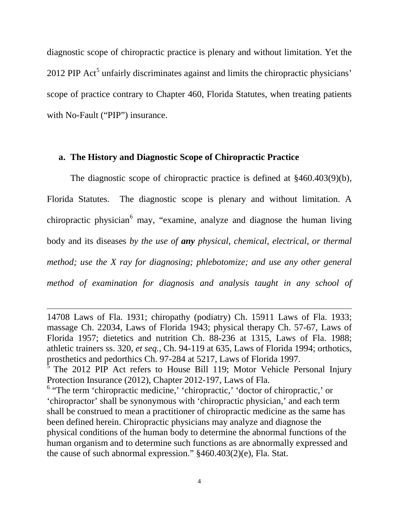diagnostic scope of chiropractic practice is plenary and without limitation. Yet the 2012 PIP Act<sup>[5](#page-8-0)</sup> unfairly discriminates against and limits the chiropractic physicians' scope of practice contrary to Chapter 460, Florida Statutes, when treating patients with No-Fault ("PIP") insurance.

#### **a. The History and Diagnostic Scope of Chiropractic Practice**

The diagnostic scope of chiropractic practice is defined at §460.403(9)(b), Florida Statutes. The diagnostic scope is plenary and without limitation. A chiropractic physician<sup>[6](#page-8-1)</sup> may, "examine, analyze and diagnose the human living body and its diseases *by the use of any physical, chemical, electrical, or thermal method; use the X ray for diagnosing; phlebotomize; and use any other general method of examination for diagnosis and analysis taught in any school of* 

 $\overline{a}$ 

<sup>14708</sup> Laws of Fla. 1931; chiropathy (podiatry) Ch. 15911 Laws of Fla. 1933; massage Ch. 22034, Laws of Florida 1943; physical therapy Ch. 57-67, Laws of Florida 1957; dietetics and nutrition Ch. 88-236 at 1315, Laws of Fla. 1988; athletic trainers ss. 320, *et seq.*, Ch. 94-119 at 635, Laws of Florida 1994; orthotics, prosthetics and pedorthics Ch. 97-284 at 5217, Laws of Florida 1997.

<span id="page-8-0"></span> $5$  The 2012 PIP Act refers to House Bill 119; Motor Vehicle Personal Injury Protection Insurance (2012), Chapter 2012-197, Laws of Fla.

<span id="page-8-1"></span> $6$  "The term 'chiropractic medicine,' 'chiropractic,' 'doctor of chiropractic,' or 'chiropractor' shall be synonymous with 'chiropractic physician,' and each term shall be construed to mean a practitioner of chiropractic medicine as the same has been defined herein. Chiropractic physicians may analyze and diagnose the physical conditions of the human body to determine the abnormal functions of the human organism and to determine such functions as are abnormally expressed and the cause of such abnormal expression." §460.403(2)(e), Fla. Stat.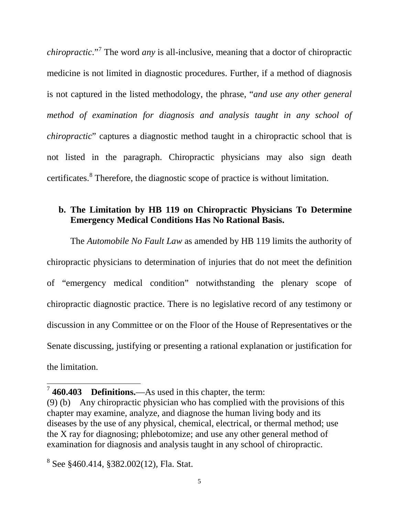*chiropractic*."[7](#page-9-0) The word *any* is all-inclusive, meaning that a doctor of chiropractic medicine is not limited in diagnostic procedures. Further, if a method of diagnosis is not captured in the listed methodology, the phrase, "*and use any other general method of examination for diagnosis and analysis taught in any school of chiropractic*" captures a diagnostic method taught in a chiropractic school that is not listed in the paragraph. Chiropractic physicians may also sign death certificates.<sup>[8](#page-9-1)</sup> Therefore, the diagnostic scope of practice is without limitation.

## **b. The Limitation by HB 119 on Chiropractic Physicians To Determine Emergency Medical Conditions Has No Rational Basis.**

The *Automobile No Fault Law* as amended by HB 119 limits the authority of chiropractic physicians to determination of injuries that do not meet the definition of "emergency medical condition" notwithstanding the plenary scope of chiropractic diagnostic practice. There is no legislative record of any testimony or discussion in any Committee or on the Floor of the House of Representatives or the Senate discussing, justifying or presenting a rational explanation or justification for the limitation.

<span id="page-9-0"></span> <sup>7</sup> **460.403 Definitions.**—As used in this chapter, the term:

<sup>(9) (</sup>b) Any chiropractic physician who has complied with the provisions of this chapter may examine, analyze, and diagnose the human living body and its diseases by the use of any physical, chemical, electrical, or thermal method; use the X ray for diagnosing; phlebotomize; and use any other general method of examination for diagnosis and analysis taught in any school of chiropractic.

<span id="page-9-1"></span><sup>8</sup> See §460.414, §382.002(12), Fla. Stat.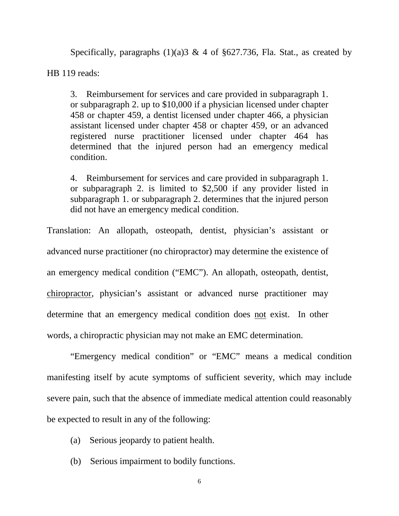Specifically, paragraphs  $(1)(a)$ 3 & 4 of §627.736, Fla. Stat., as created by

HB 119 reads:

3. Reimbursement for services and care provided in subparagraph 1. or subparagraph 2. up to \$10,000 if a physician licensed under chapter 458 or chapter 459, a dentist licensed under chapter 466, a physician assistant licensed under chapter 458 or chapter 459, or an advanced registered nurse practitioner licensed under chapter 464 has determined that the injured person had an emergency medical condition.

4. Reimbursement for services and care provided in subparagraph 1. or subparagraph 2. is limited to \$2,500 if any provider listed in subparagraph 1. or subparagraph 2. determines that the injured person did not have an emergency medical condition.

Translation: An allopath, osteopath, dentist, physician's assistant or advanced nurse practitioner (no chiropractor) may determine the existence of an emergency medical condition ("EMC"). An allopath, osteopath, dentist, chiropractor, physician's assistant or advanced nurse practitioner may determine that an emergency medical condition does not exist. In other words, a chiropractic physician may not make an EMC determination.

"Emergency medical condition" or "EMC" means a medical condition manifesting itself by acute symptoms of sufficient severity, which may include severe pain, such that the absence of immediate medical attention could reasonably be expected to result in any of the following:

- (a) Serious jeopardy to patient health.
- (b) Serious impairment to bodily functions.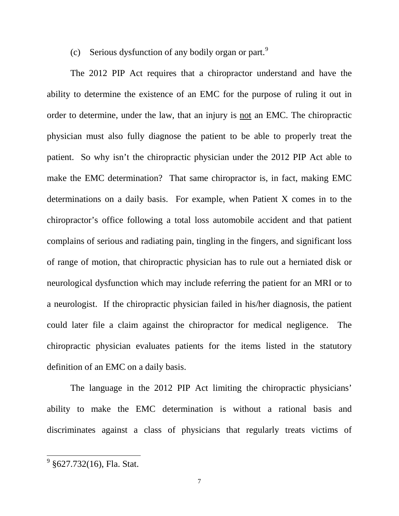(c) Serious dysfunction of any bodily organ or part.<sup>[9](#page-11-0)</sup>

The 2012 PIP Act requires that a chiropractor understand and have the ability to determine the existence of an EMC for the purpose of ruling it out in order to determine, under the law, that an injury is not an EMC. The chiropractic physician must also fully diagnose the patient to be able to properly treat the patient. So why isn't the chiropractic physician under the 2012 PIP Act able to make the EMC determination? That same chiropractor is, in fact, making EMC determinations on a daily basis. For example, when Patient X comes in to the chiropractor's office following a total loss automobile accident and that patient complains of serious and radiating pain, tingling in the fingers, and significant loss of range of motion, that chiropractic physician has to rule out a herniated disk or neurological dysfunction which may include referring the patient for an MRI or to a neurologist. If the chiropractic physician failed in his/her diagnosis, the patient could later file a claim against the chiropractor for medical negligence. The chiropractic physician evaluates patients for the items listed in the statutory definition of an EMC on a daily basis.

The language in the 2012 PIP Act limiting the chiropractic physicians' ability to make the EMC determination is without a rational basis and discriminates against a class of physicians that regularly treats victims of

<span id="page-11-0"></span> $9$  §627.732(16), Fla. Stat.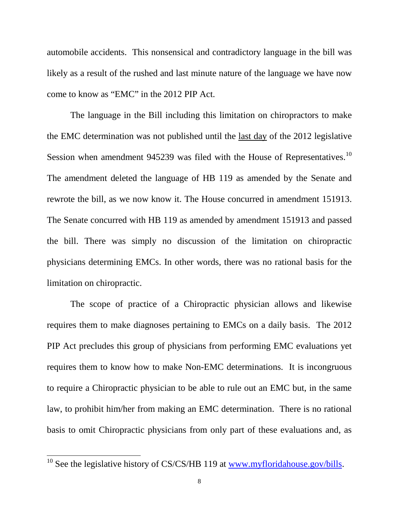automobile accidents. This nonsensical and contradictory language in the bill was likely as a result of the rushed and last minute nature of the language we have now come to know as "EMC" in the 2012 PIP Act.

The language in the Bill including this limitation on chiropractors to make the EMC determination was not published until the last day of the 2012 legislative Session when amendment 945239 was filed with the House of Representatives.<sup>[10](#page-12-0)</sup> The amendment deleted the language of HB 119 as amended by the Senate and rewrote the bill, as we now know it. The House concurred in amendment 151913. The Senate concurred with HB 119 as amended by amendment 151913 and passed the bill. There was simply no discussion of the limitation on chiropractic physicians determining EMCs. In other words, there was no rational basis for the limitation on chiropractic.

The scope of practice of a Chiropractic physician allows and likewise requires them to make diagnoses pertaining to EMCs on a daily basis. The 2012 PIP Act precludes this group of physicians from performing EMC evaluations yet requires them to know how to make Non-EMC determinations. It is incongruous to require a Chiropractic physician to be able to rule out an EMC but, in the same law, to prohibit him/her from making an EMC determination. There is no rational basis to omit Chiropractic physicians from only part of these evaluations and, as

<span id="page-12-0"></span> $10$  See the legislative history of CS/CS/HB 119 at  $\underline{www.myfloridalous.gov/bills}$ .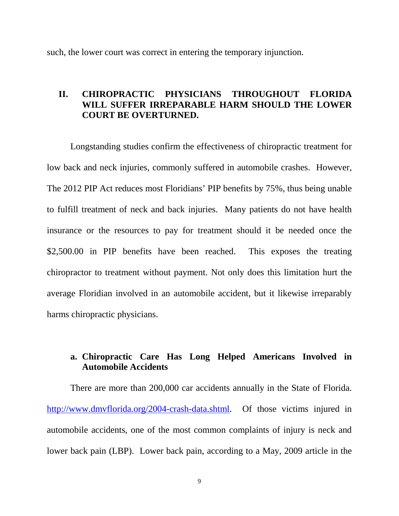such, the lower court was correct in entering the temporary injunction.

### **II. CHIROPRACTIC PHYSICIANS THROUGHOUT FLORIDA WILL SUFFER IRREPARABLE HARM SHOULD THE LOWER COURT BE OVERTURNED.**

Longstanding studies confirm the effectiveness of chiropractic treatment for low back and neck injuries, commonly suffered in automobile crashes. However, The 2012 PIP Act reduces most Floridians' PIP benefits by 75%, thus being unable to fulfill treatment of neck and back injuries. Many patients do not have health insurance or the resources to pay for treatment should it be needed once the \$2,500.00 in PIP benefits have been reached. This exposes the treating chiropractor to treatment without payment. Not only does this limitation hurt the average Floridian involved in an automobile accident, but it likewise irreparably harms chiropractic physicians.

## **a. Chiropractic Care Has Long Helped Americans Involved in Automobile Accidents**

There are more than 200,000 car accidents annually in the State of Florida. [http://www.dmvflorida.org/2004-crash-data.shtml.](http://www.dmvflorida.org/2004-crash-data.shtml) Of those victims injured in automobile accidents, one of the most common complaints of injury is neck and lower back pain (LBP). Lower back pain, according to a May, 2009 article in the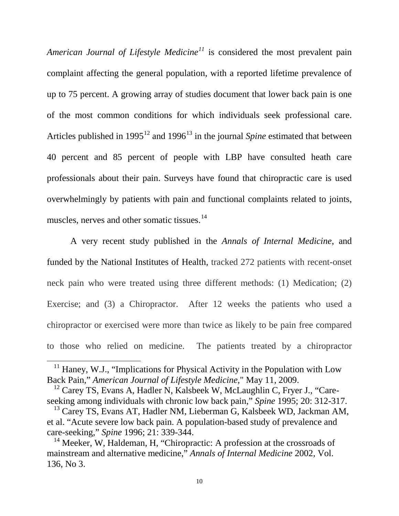*American Journal of Lifestyle Medicine[11](#page-14-0)* is considered the most prevalent pain complaint affecting the general population, with a reported lifetime prevalence of up to 75 percent. A growing array of studies document that lower back pain is one of the most common conditions for which individuals seek professional care. Articles published in 1995<sup>[12](#page-14-1)</sup> and 1996<sup>[13](#page-14-2)</sup> in the journal *Spine* estimated that between 40 percent and 85 percent of people with LBP have consulted heath care professionals about their pain. Surveys have found that chiropractic care is used overwhelmingly by patients with pain and functional complaints related to joints, muscles, nerves and other somatic tissues.<sup>[14](#page-14-3)</sup>

A very recent study published in the *Annals of Internal Medicine*, and funded by the National Institutes of Health, tracked 272 patients with recent-onset neck pain who were treated using three different methods: (1) Medication; (2) Exercise; and (3) a Chiropractor. After 12 weeks the patients who used a chiropractor or exercised were more than twice as likely to be pain free compared to those who relied on medicine. The patients treated by a chiropractor

 $\overline{a}$ 

<span id="page-14-0"></span> $11$  Haney, W.J., "Implications for Physical Activity in the Population with Low Back Pain," *American Journal of Lifestyle Medicine,*" May 11, 2009.

<span id="page-14-1"></span> $12$  Carey TS, Evans A, Hadler N, Kalsbeek W, McLaughlin C, Fryer J., "Careseeking among individuals with chronic low back pain," *Spine* 1995; 20: 312-317.

<span id="page-14-2"></span><sup>&</sup>lt;sup>13</sup> Carey TS, Evans AT, Hadler NM, Lieberman G, Kalsbeek WD, Jackman AM, et al. "Acute severe low back pain. A population-based study of prevalence and care-seeking," *Spine* 1996; 21: 339-344.

<span id="page-14-3"></span><sup>&</sup>lt;sup>14</sup> Meeker, W, Haldeman, H, "Chiropractic: A profession at the crossroads of mainstream and alternative medicine," *Annals of Internal Medicine* 2002, Vol. 136, No 3.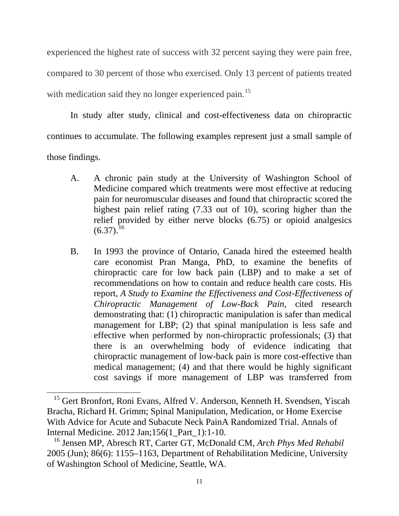experienced the highest rate of success with 32 percent saying they were pain free, compared to 30 percent of those who exercised. Only 13 percent of patients treated with medication said they no longer experienced pain.<sup>[15](#page-15-0)</sup>

In study after study, clinical and cost-effectiveness data on chiropractic continues to accumulate. The following examples represent just a small sample of those findings.

- A. A chronic pain study at the University of Washington School of Medicine compared which treatments were most effective at reducing pain for neuromuscular diseases and found that chiropractic scored the highest pain relief rating (7.33 out of 10), scoring higher than the relief provided by either nerve blocks (6.75) or opioid analgesics  $(6.37).^{16}$  $(6.37).^{16}$  $(6.37).^{16}$
- B. In 1993 the province of Ontario, Canada hired the esteemed health care economist Pran Manga, PhD, to examine the benefits of chiropractic care for low back pain (LBP) and to make a set of recommendations on how to contain and reduce health care costs. His report, *A Study to Examine the Effectiveness and Cost-Effectiveness of Chiropractic Management of Low-Back Pain,* cited research demonstrating that: (1) chiropractic manipulation is safer than medical management for LBP; (2) that spinal manipulation is less safe and effective when performed by non-chiropractic professionals; (3) that there is an overwhelming body of evidence indicating that chiropractic management of low-back pain is more cost-effective than medical management; (4) and that there would be highly significant cost savings if more management of LBP was transferred from

 $\overline{a}$ 

<span id="page-15-0"></span><sup>&</sup>lt;sup>15</sup> Gert Bronfort, Roni Evans, Alfred V. Anderson, Kenneth H. Svendsen, Yiscah Bracha, Richard H. Grimm; Spinal Manipulation, Medication, or Home Exercise With Advice for Acute and Subacute Neck PainA Randomized Trial. Annals of Internal Medicine. 2012 Jan;156(1\_Part\_1):1-10.

<span id="page-15-1"></span><sup>16</sup> Jensen MP, Abresch RT, Carter GT, McDonald CM, *Arch Phys Med Rehabil*  2005 (Jun); 86(6): 1155–1163, Department of Rehabilitation Medicine, University of Washington School of Medicine, Seattle, WA.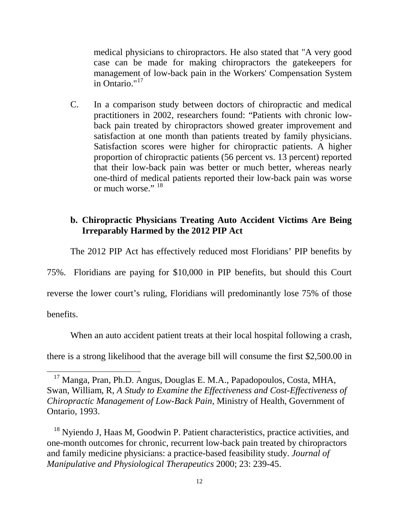medical physicians to chiropractors. He also stated that "A very good case can be made for making chiropractors the gatekeepers for management of low-back pain in the Workers' Compensation System in Ontario."[17](#page-16-0)

C. In a comparison study between doctors of chiropractic and medical practitioners in 2002, researchers found: "Patients with chronic lowback pain treated by chiropractors showed greater improvement and satisfaction at one month than patients treated by family physicians. Satisfaction scores were higher for chiropractic patients. A higher proportion of chiropractic patients (56 percent vs. 13 percent) reported that their low-back pain was better or much better, whereas nearly one-third of medical patients reported their low-back pain was worse or much worse." [18](#page-16-1)

## **b. Chiropractic Physicians Treating Auto Accident Victims Are Being Irreparably Harmed by the 2012 PIP Act**

The 2012 PIP Act has effectively reduced most Floridians' PIP benefits by

75%. Floridians are paying for \$10,000 in PIP benefits, but should this Court

reverse the lower court's ruling, Floridians will predominantly lose 75% of those

benefits.

 $\overline{a}$ 

When an auto accident patient treats at their local hospital following a crash,

there is a strong likelihood that the average bill will consume the first \$2,500.00 in

<span id="page-16-0"></span><sup>17</sup> Manga, Pran, Ph.D. Angus, Douglas E. M.A., Papadopoulos, Costa, MHA, Swan, William, R, *A Study to Examine the Effectiveness and Cost-Effectiveness of Chiropractic Management of Low-Back Pain*, Ministry of Health, Government of Ontario, 1993.

<span id="page-16-1"></span><sup>&</sup>lt;sup>18</sup> Nyiendo J, Haas M, Goodwin P. Patient characteristics, practice activities, and one-month outcomes for chronic, recurrent low-back pain treated by chiropractors and family medicine physicians: a practice-based feasibility study. *Journal of Manipulative and Physiological Therapeutics* 2000; 23: 239-45.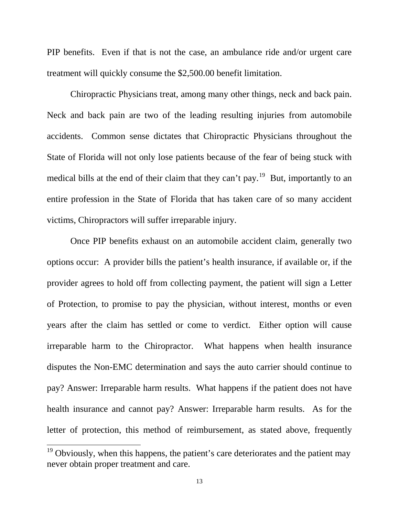PIP benefits. Even if that is not the case, an ambulance ride and/or urgent care treatment will quickly consume the \$2,500.00 benefit limitation.

Chiropractic Physicians treat, among many other things, neck and back pain. Neck and back pain are two of the leading resulting injuries from automobile accidents. Common sense dictates that Chiropractic Physicians throughout the State of Florida will not only lose patients because of the fear of being stuck with medical bills at the end of their claim that they can't pay.<sup>[19](#page-17-0)</sup> But, importantly to an entire profession in the State of Florida that has taken care of so many accident victims, Chiropractors will suffer irreparable injury.

Once PIP benefits exhaust on an automobile accident claim, generally two options occur: A provider bills the patient's health insurance, if available or, if the provider agrees to hold off from collecting payment, the patient will sign a Letter of Protection, to promise to pay the physician, without interest, months or even years after the claim has settled or come to verdict. Either option will cause irreparable harm to the Chiropractor. What happens when health insurance disputes the Non-EMC determination and says the auto carrier should continue to pay? Answer: Irreparable harm results. What happens if the patient does not have health insurance and cannot pay? Answer: Irreparable harm results. As for the letter of protection, this method of reimbursement, as stated above, frequently

<span id="page-17-0"></span><sup>&</sup>lt;sup>19</sup> Obviously, when this happens, the patient's care deteriorates and the patient may never obtain proper treatment and care.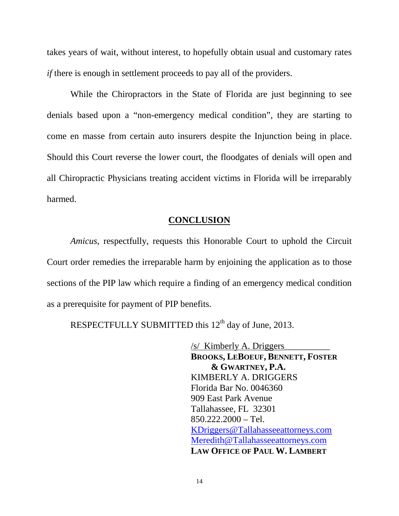takes years of wait, without interest, to hopefully obtain usual and customary rates *if* there is enough in settlement proceeds to pay all of the providers.

While the Chiropractors in the State of Florida are just beginning to see denials based upon a "non-emergency medical condition", they are starting to come en masse from certain auto insurers despite the Injunction being in place. Should this Court reverse the lower court, the floodgates of denials will open and all Chiropractic Physicians treating accident victims in Florida will be irreparably harmed.

## **CONCLUSION**

*Amicus*, respectfully, requests this Honorable Court to uphold the Circuit Court order remedies the irreparable harm by enjoining the application as to those sections of the PIP law which require a finding of an emergency medical condition as a prerequisite for payment of PIP benefits.

RESPECTFULLY SUBMITTED this 12<sup>th</sup> day of June, 2013.

/s/ Kimberly A. Driggers **BROOKS, LEBOEUF, BENNETT, FOSTER & GWARTNEY, P.A.** KIMBERLY A. DRIGGERS Florida Bar No. 0046360 909 East Park Avenue Tallahassee, FL 32301 850.222.2000 – Tel. [KDriggers@Tallahasseeattorneys.com](mailto:KDriggers@Tallahasseeattorneys.com) [Meredith@Tallahasseeattorneys.com](mailto:Meredith@Tallahasseeattorneys.com) **LAW OFFICE OF PAUL W. LAMBERT**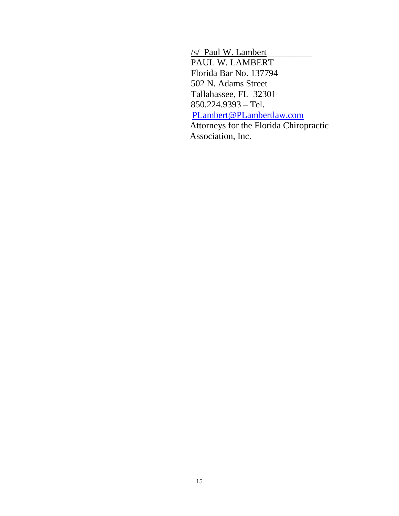/s/ Paul W. Lambert\_\_\_\_\_\_\_\_\_\_ PAUL W. LAMBERT Florida Bar No. 137794 502 N. Adams Street Tallahassee, FL 32301 850.224.9393 – Tel. [PLambert@PLambertlaw.com](mailto:PLambert@PLambertlaw.com) Attorneys for the Florida Chiropractic

Association, Inc.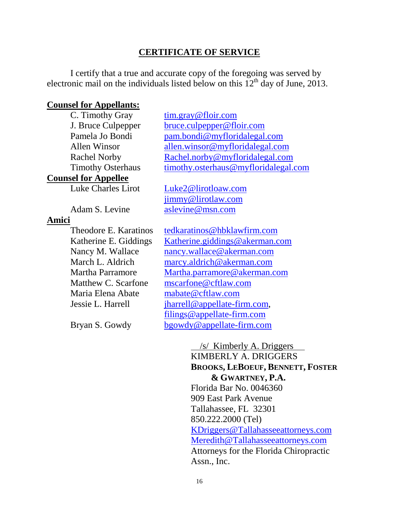### **CERTIFICATE OF SERVICE**

I certify that a true and accurate copy of the foregoing was served by electronic mail on the individuals listed below on this  $12<sup>th</sup>$  day of June, 2013.

#### **Counsel for Appellants:**

C. Timothy Gray

**Counsel for Appellee**

Luke Charles Lirot

#### **Amici**

Theodore E. Karatinos Maria Elena Abate [mabate@cftlaw.com](mailto:mabate@cftlaw.com)

[tim.gray@floir.com](mailto:tim.gray@floir.com) J. Bruce Culpepper [bruce.culpepper@floir.com](mailto:bruce.culpepper@floir.com) Pamela Jo Bondi [pam.bondi@myfloridalegal.com](mailto:pam.bondi@myfloridalegal.com) Allen Winsor [allen.winsor@myfloridalegal.com](mailto:allen.winsor@myfloridalegal.com) Rachel Norby [Rachel.norby@myfloridalegal.com](mailto:Rachel.norby@myfloridalegal.com) Timothy Osterhaus [timothy.osterhaus@myfloridalegal.com](mailto:timothy.osterhaus@myfloridalegal.com)

[Luke2@lirotloaw.com](mailto:Luke2@lirotloaw.com) [jimmy@lirotlaw.com](mailto:jimmy@lirotlaw.com) Adam S. Levine [aslevine@msn.com](mailto:aslevine@msn.com)

[tedkaratinos@hbklawfirm.com](mailto:tedkaratinos@hbklawfirm.com) Katherine E. Giddings [Katherine.giddings@akerman.com](mailto:Katherine.giddings@akerman.com) Nancy M. Wallace [nancy.wallace@akerman.com](mailto:nancy.wallace@akerman.com) March L. Aldrich [marcy.aldrich@akerman.com](mailto:marcy.aldrich@akerman.com) Martha Parramore [Martha.parramore@akerman.com](mailto:Martha.parramore@akerman.com) Matthew C. Scarfone [mscarfone@cftlaw.com](mailto:mscarfone@cftlaw.com) Jessie L. Harrell *[jharrell@appellate-firm.com,](mailto:jharrell@appellate-firm.com)* [filings@appellate-firm.com](mailto:filings@appellate-firm.com) Bryan S. Gowdy [bgowdy@appellate-firm.com](mailto:bgowdy@appellate-firm.com)

> /s/ Kimberly A. Driggers KIMBERLY A. DRIGGERS **BROOKS, LEBOEUF, BENNETT, FOSTER & GWARTNEY, P.A.** Florida Bar No. 0046360 909 East Park Avenue Tallahassee, FL 32301 850.222.2000 (Tel) [KDriggers@Tallahasseeattorneys.com](mailto:KDriggers@Tallahasseeattorneys.com) [Meredith@Tallahasseeattorneys.com](mailto:Meredith@Tallahasseeattorneys.com) Attorneys for the Florida Chiropractic Assn., Inc.